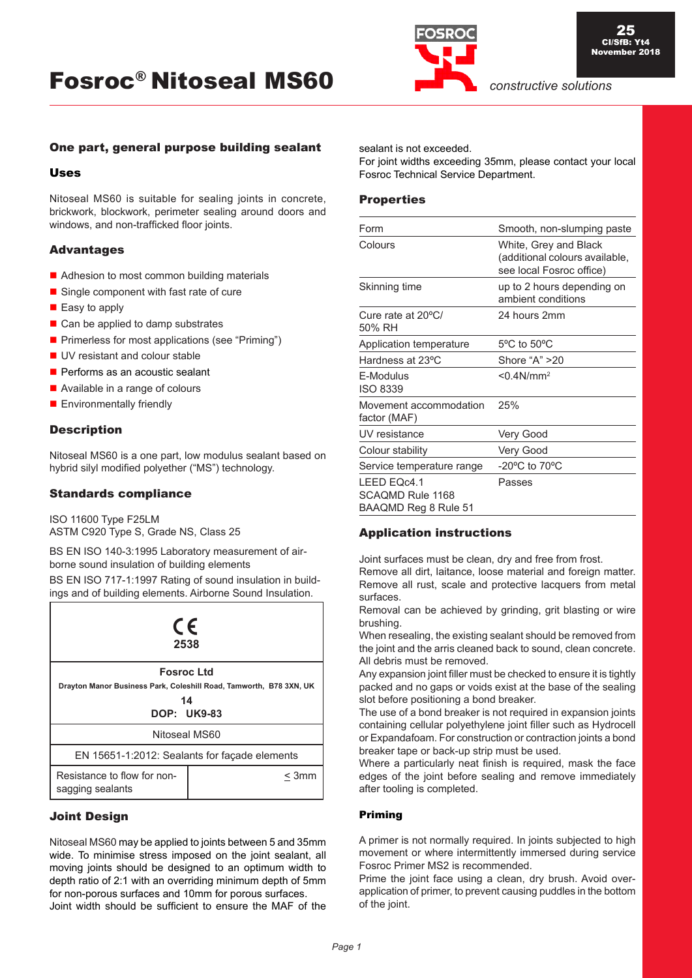

## One part, general purpose building sealant

### Uses

Nitoseal MS60 is suitable for sealing joints in concrete, brickwork, blockwork, perimeter sealing around doors and windows, and non-trafficked floor joints.

## **Advantages**

- Adhesion to most common building materials
- Single component with fast rate of cure
- Easy to apply
- Can be applied to damp substrates
- **Primerless for most applications (see "Priming")**
- UV resistant and colour stable
- Performs as an acoustic sealant
- Available in a range of colours
- **Environmentally friendly**

## **Description**

Nitoseal MS60 is a one part, low modulus sealant based on hybrid silyl modified polyether ("MS") technology.

### Standards compliance

ISO 11600 Type F25LM ASTM C920 Type S, Grade NS, Class 25

BS EN ISO 140-3:1995 Laboratory measurement of airborne sound insulation of building elements

BS EN ISO 717-1:1997 Rating of sound insulation in buildings and of building elements. Airborne Sound Insulation.

| CE<br>2538                                                                                                          |       |  |
|---------------------------------------------------------------------------------------------------------------------|-------|--|
| <b>Fosroc Ltd</b><br>Drayton Manor Business Park, Coleshill Road, Tamworth, B78 3XN, UK<br>14<br><b>DOP: UK9-83</b> |       |  |
| Nitoseal MS60                                                                                                       |       |  |
| EN 15651-1:2012: Sealants for façade elements                                                                       |       |  |
| Resistance to flow for non-<br>sagging sealants                                                                     | < 3mm |  |

#### Joint Design

Nitoseal MS60 may be applied to joints between 5 and 35mm wide. To minimise stress imposed on the joint sealant, all moving joints should be designed to an optimum width to depth ratio of 2:1 with an overriding minimum depth of 5mm for non-porous surfaces and 10mm for porous surfaces. Joint width should be sufficient to ensure the MAF of the

sealant is not exceeded.

For joint widths exceeding 35mm, please contact your local Fosroc Technical Service Department.

## **Properties**

| Form                                                    | Smooth, non-slumping paste                                                          |
|---------------------------------------------------------|-------------------------------------------------------------------------------------|
| Colours                                                 | White, Grey and Black<br>(additional colours available,<br>see local Fosroc office) |
| Skinning time                                           | up to 2 hours depending on<br>ambient conditions                                    |
| Cure rate at 20°C/<br>50% RH                            | 24 hours 2mm                                                                        |
| Application temperature                                 | 5°C to 50°C                                                                         |
| Hardness at 23°C                                        | Shore "A" >20                                                                       |
| F-Modulus<br><b>ISO 8339</b>                            | $< 0.4$ N/mm <sup>2</sup>                                                           |
| Movement accommodation<br>factor (MAF)                  | 25%                                                                                 |
| UV resistance                                           | Very Good                                                                           |
| Colour stability                                        | Very Good                                                                           |
| Service temperature range                               | -20 $\rm{^oC}$ to 70 $\rm{^oC}$                                                     |
| LEED EQc4.1<br>SCAOMD Rule 1168<br>BAAQMD Reg 8 Rule 51 | Passes                                                                              |

## Application instructions

Joint surfaces must be clean, dry and free from frost.

Remove all dirt, laitance, loose material and foreign matter. Remove all rust, scale and protective lacquers from metal surfaces.

Removal can be achieved by grinding, grit blasting or wire brushing.

When resealing, the existing sealant should be removed from the joint and the arris cleaned back to sound, clean concrete. All debris must be removed.

Any expansion joint filler must be checked to ensure it is tightly packed and no gaps or voids exist at the base of the sealing slot before positioning a bond breaker.

The use of a bond breaker is not required in expansion joints containing cellular polyethylene joint filler such as Hydrocell or Expandafoam. For construction or contraction joints a bond breaker tape or back-up strip must be used.

Where a particularly neat finish is required, mask the face edges of the joint before sealing and remove immediately after tooling is completed.

#### Priming

A primer is not normally required. In joints subjected to high movement or where intermittently immersed during service Fosroc Primer MS2 is recommended.

Prime the joint face using a clean, dry brush. Avoid overapplication of primer, to prevent causing puddles in the bottom of the joint.